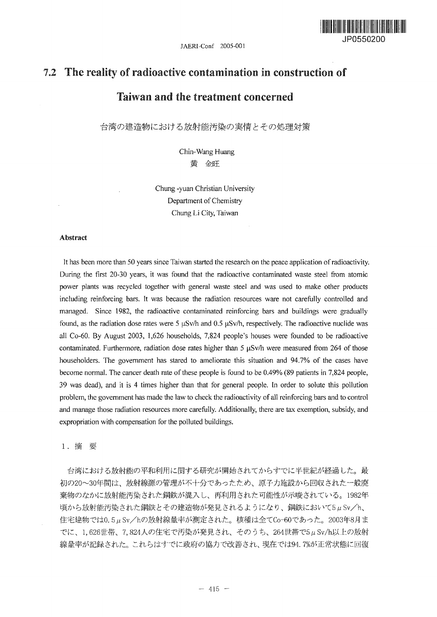JAERI-Conf 2005-001



# *12* The reality of radioactive contamination in construction of

## Taiwan and the treatment concerned

台湾の建造物における放射能汚染の実情とその処理対策

Chin-Wang Huang 黄 金旺

Chung -yuan Christian University Department of Chemistry Chung Li City, Taiwan

#### Abstract

It has been more than 50 years since Taiwan started the research on the peace application of radioactivity. During the first 20-30 years, it was found that the radioactive contaminated waste steel from atomic power plants was recycled together with general waste steel and was used to make other products including reinforcing bars. It was because the radiation resources ware not carefully controlled and managed. Since 1982, the radioactive contaminated reinforcing bars and buildings were gradually found, as the radiation dose rates were 5  $\mu$ Sv/h and 0.5  $\mu$ Sv/h, respectively. The radioactive nuclide was all Co-60. By August 2003, 1,626 households, 7,824 people's houses were founded to be radioactive contaminated. Furthermore, radiation dose rates higher than  $5 \mu Sv/h$  were measured from 264 of those householders. The government has stared to ameliorate this situation and 94.7% of the cases have become normal. The cancer death rate of these people is found to be 0.49% (89 patients in 7,824 people, 39 was dead), and it is 4 times higher than that for general people. In order to solute this pollution problem, the government has made the law to check the radioactivity of all reinforcing bars and to control and manage those radiation resources more carefully. Additionally, there are tax exemption, subsidy, and expropriation with compensation for the polluted buildings.

1. 摘 要

台湾における放射能の平和利用に関する研究が開始されてからすでに半世紀が経過した。最 初の20~30年間は、放射線源の管理が不十分であったため、原子力施設から回収された一般廃 棄物のなかに放射能汚染された鋼鉄が混入し、再利用された可能性が示唆されている。1982年 頃から放射能汚染された鋼鉄とその建造物が発見されるようになり、鋼鉄において5μSv/h、 住宅建物では0.5μSv/hの放射線量率が測定された。核種は全てCo-60であった。2003年8月ま でに、1,626世帯、7,824人の住宅で汚染が発見され、そのうち、264世帯で5μSv/h以上の放射 線量率が記録された。これらはすでに政府の協力で改善され、現在では94.7%が正常状態に回復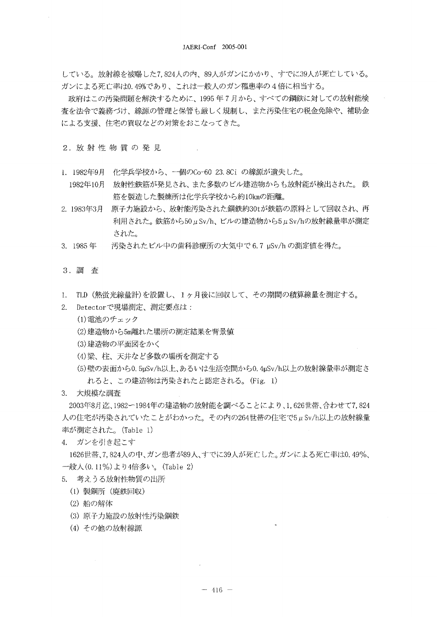している。放射線を被曝した7,824人の内、89人がガンにかかり、すでに39人が死亡している。 ガンによる死亡率は0.49%であり、これは一般人のガン罹患率の4倍に相当する。

政府はこの汚染問題を解決するために、1995年7月から、すべての鋼鉄に対しての放射能検 杳を法令で義務づけ、線源の管理と保管も厳しく規制し、また汚染住宅の税金免除や、補助金 による支援、住宅の買収などの対策をおこなってきた。

2. 放射性物質の発見

- 1. 1982年9月 化学兵学校から、一個のCo-60 23.8Ci の線源が遺失した。
	- 1982年10月 放射性鉄筋が発見され、また多数のビル建造物からも放射能が検出された。鉄 筋を製造した製煉所は化学兵学校から約10kmの距離。
- 2. 1983年3月 原子力施設から、放射能汚染された鋼鉄約30tが鉄筋の原料として回収され、再 利用された。鉄筋から50μSv/h、ビルの建造物から5μSv/hの放射線量率が測定 された。
- 3. 1985 $#$ 汚染されたビル中の歯科診療所の大気中で6.7 µSv/h の測定値を得た。

#### 3. 調 査

- 1. TLD (熱蛍光線量計)を設置し、1ヶ月後に回収して、その期間の積算線量を測定する。
- 2. Detectorで現場測定、測定要点は:
	- (1) 雷池のチェック
	- (2)建造物から5m離れた場所の測定結果を背景値
	- (3) 建造物の平面図をかく
	- (4) 梁、柱、天井など多数の場所を測定する
	- (5)壁の表面から0.5uSv/h以上、あるいは生活空間から0.4uSv/h以上の放射線量率が測定さ れると、この建造物は汚染されたと認定される。(Fig. 1)

3. 大規模な調査

2003年8月迄、1982ー1984年の建造物の放射能を調べることにより、1.626世帯、合わせて7.824 人の住宅が汚染されていたことがわかった。その内の264世帯の住宅で5μSv/h以上の放射線量 率が測定された。(Table 1)

4. ガンを引き起こす

1626世帯、7,824人の中、ガン患者が89人、すでに39人が死亡した。ガンによる死亡率は0.49%、 一般人(0.11%)より4倍多い。(Table 2)

- 5. 考えうる放射性物質の出所
	- (1) 製鋼所 (廃鉄回収)
	- (2) 船の解体
	- (3) 原子力施設の放射性汚染鋼鉄
	- (4) その他の放射線源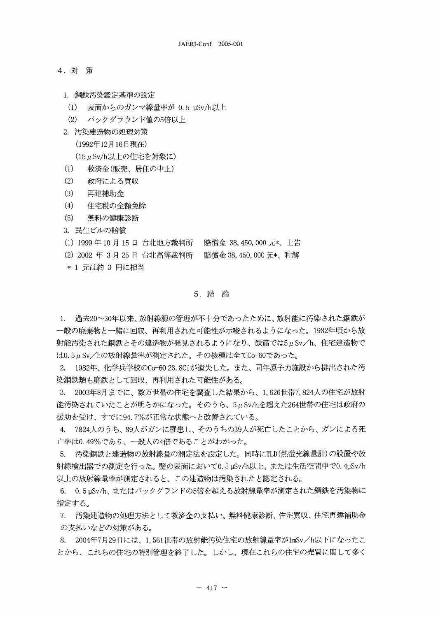- **4.**
	- 1. 鋼鉄汚染鑑定基準の設定
	- (1) - 表面からのガンマ線量率が 0.5 µSv/h以上
	- (2) バックグラウンド値の5倍以上
	- 2. 汚染建造物の処理対策

(1992年12月16日現在)

 $(15 \mu Sv/h$ 以上の住宅を対象に)

- 救済金(販売、居住の中止)  $(1)$
- **(2)** 政府による買収
- $(3)$ 再建補助金
- **(4)** 住宅税の全額免除
- **(5)**
- **3. 民生ビルの賠償**
- (1) 1999 年 10 月 15 日 台北地方裁判所 賠償金 38, 450, 000
- (2)2002 年 3 月 25 日 台北高等裁判所 賠償金 38, 450, 000 <mark>〕</mark>
- \* 1 元は約 3 円に相当

#### 5. 結 論

1. 過去20~30年以来、放射線源の管理が不十分であったために、放射能に汚染された鋼鉄が 一般の廃棄物と一緒に回収、再利用された可能性が示唆されるようになった。1982年頃から放 射能汚染された鋼鉄とその建造物が発見されるようになり、鉄筋では5μSv/h、住宅建造物で は0.5µSv/hの放射線量率が測定された。その核種は全てCo-60であった。

2. 1982年、化学兵学校のCo-60 23. 8Ciが遺失した。また、同年原子力施設から排出された汚 染鋼鉄類も廃鉄として回収、再利用された可能性がある。

3. 2003年8月までに、数万世帯の住宅を調査した結果から、1,626世帯7, 能汚染されていたことが明らかになった。そのうち、5μSv/hを超えた264世帯の住宅は政府の 援助を受け、すでに94.7%が正常な状態へと改善されている。

**4.** 亡率は0.49%であり、一般人の4倍であることがわかった。

5. 汚染鋼鉄と建造物の放射線量の測定法を設定した。同時にTLD(熱蛍光線量計)の設置や放 射線検出器での測定を行った。壁の表面において0.5μSv/h以上、または生活空間中で0.4μSv/h |以上の放射線量率が測定されると、この建造物は汚染されたと認定される。

6. 0.5µSv/h、またはバックグランドの5倍を超える放射線量率が測定された鋼鉄を汚染物に 指定する。

7. 汚染建造物の処理方法として救済金の支払い、無料健康診断、住宅買収、住宅再建補助金 の支払いなどの対策がある。

8. 2004年7月29日には、1,561世帯の放射能汚染住宅の放射線量率が1mSv/h以下になったこ とから、これらの住宅の特別管理を終了した。しかし、現在これらの住宅の売買に関して多く